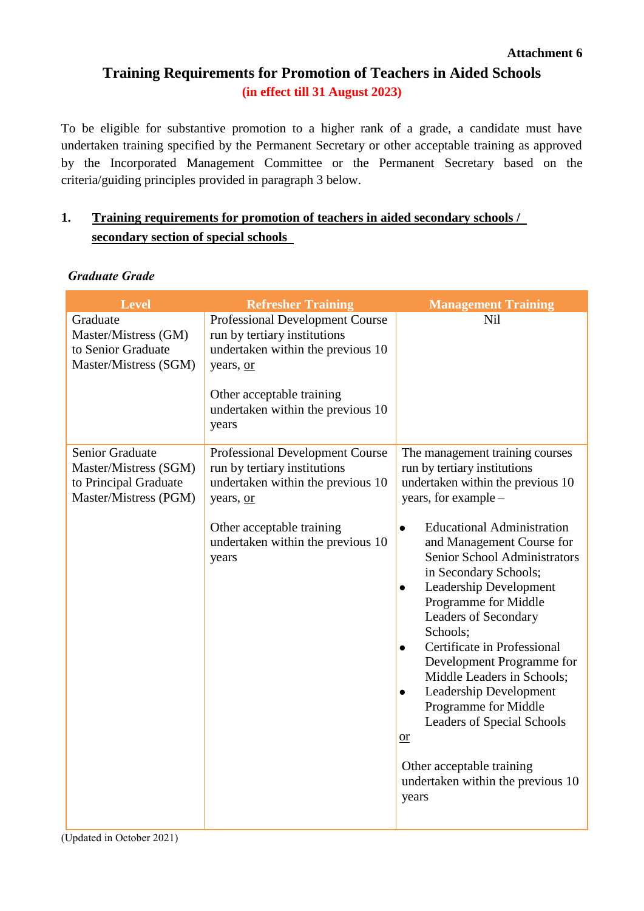# **Training Requirements for Promotion of Teachers in Aided Schools (in effect till 31 August 2023)**

To be eligible for substantive promotion to a higher rank of a grade, a candidate must have undertaken training specified by the Permanent Secretary or other acceptable training as approved by the Incorporated Management Committee or the Permanent Secretary based on the criteria/guiding principles provided in paragraph 3 below.

## **1. Training requirements for promotion of teachers in aided secondary schools / secondary section of special schools**

| <b>Level</b>                                                                               | <b>Refresher Training</b>                                                                                                                                                                    | <b>Management Training</b>                                                                                                                                                                                                                                                                                                                                                                                                                                                                                                                                                                                                                                             |
|--------------------------------------------------------------------------------------------|----------------------------------------------------------------------------------------------------------------------------------------------------------------------------------------------|------------------------------------------------------------------------------------------------------------------------------------------------------------------------------------------------------------------------------------------------------------------------------------------------------------------------------------------------------------------------------------------------------------------------------------------------------------------------------------------------------------------------------------------------------------------------------------------------------------------------------------------------------------------------|
| Graduate<br>Master/Mistress (GM)<br>to Senior Graduate<br>Master/Mistress (SGM)            | Professional Development Course<br>run by tertiary institutions<br>undertaken within the previous 10<br>years, or                                                                            | Nil                                                                                                                                                                                                                                                                                                                                                                                                                                                                                                                                                                                                                                                                    |
|                                                                                            | Other acceptable training<br>undertaken within the previous 10<br>years                                                                                                                      |                                                                                                                                                                                                                                                                                                                                                                                                                                                                                                                                                                                                                                                                        |
| Senior Graduate<br>Master/Mistress (SGM)<br>to Principal Graduate<br>Master/Mistress (PGM) | Professional Development Course<br>run by tertiary institutions<br>undertaken within the previous 10<br>years, or<br>Other acceptable training<br>undertaken within the previous 10<br>years | The management training courses<br>run by tertiary institutions<br>undertaken within the previous 10<br>years, for example -<br><b>Educational Administration</b><br>$\bullet$<br>and Management Course for<br>Senior School Administrators<br>in Secondary Schools;<br>Leadership Development<br>$\bullet$<br>Programme for Middle<br><b>Leaders of Secondary</b><br>Schools;<br>Certificate in Professional<br>Development Programme for<br>Middle Leaders in Schools;<br><b>Leadership Development</b><br>$\bullet$<br>Programme for Middle<br><b>Leaders of Special Schools</b><br>$or$<br>Other acceptable training<br>undertaken within the previous 10<br>years |
|                                                                                            |                                                                                                                                                                                              |                                                                                                                                                                                                                                                                                                                                                                                                                                                                                                                                                                                                                                                                        |

### *Graduate Grade*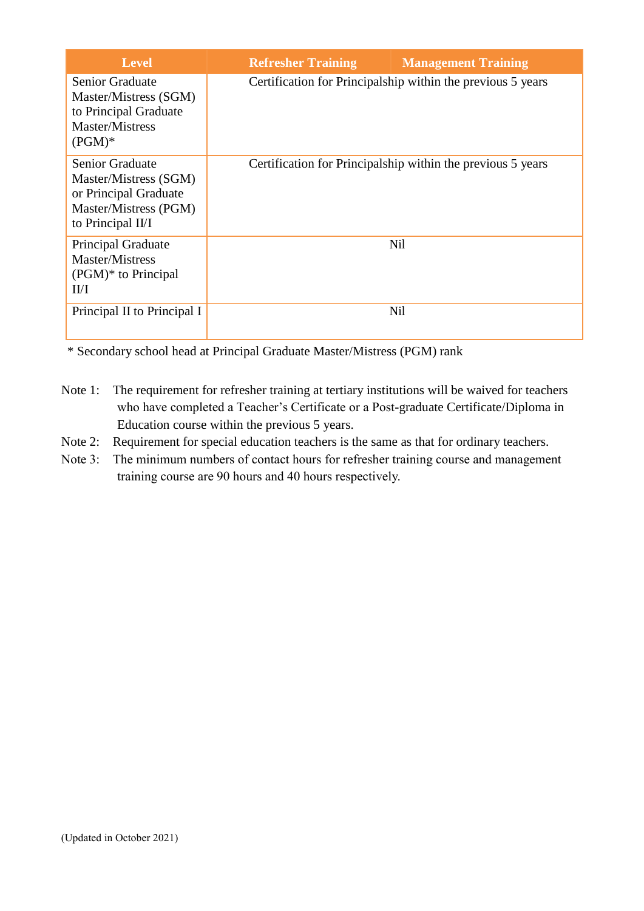| <b>Level</b>                                                                                                    | <b>Refresher Training</b> | <b>Management Training</b>                                  |  |
|-----------------------------------------------------------------------------------------------------------------|---------------------------|-------------------------------------------------------------|--|
| Senior Graduate<br>Master/Mistress (SGM)<br>to Principal Graduate<br>Master/Mistress<br>$(PGM)^*$               |                           | Certification for Principalship within the previous 5 years |  |
| Senior Graduate<br>Master/Mistress (SGM)<br>or Principal Graduate<br>Master/Mistress (PGM)<br>to Principal II/I |                           | Certification for Principalship within the previous 5 years |  |
| Principal Graduate<br>Master/Mistress<br>$(PGM)*$ to Principal<br>II/I                                          |                           | <b>Nil</b>                                                  |  |
| Principal II to Principal I                                                                                     |                           | Nil                                                         |  |

\* Secondary school head at Principal Graduate Master/Mistress (PGM) rank

- Note 1: The requirement for refresher training at tertiary institutions will be waived for teachers who have completed a Teacher's Certificate or a Post-graduate Certificate/Diploma in Education course within the previous 5 years.
- Note 2: Requirement for special education teachers is the same as that for ordinary teachers.
- Note 3: The minimum numbers of contact hours for refresher training course and management training course are 90 hours and 40 hours respectively.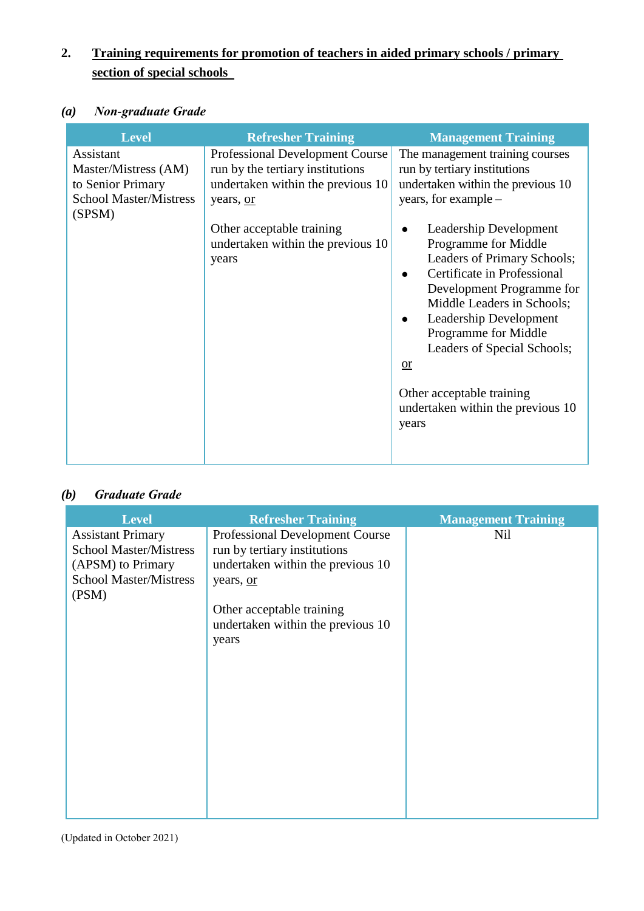# **2. Training requirements for promotion of teachers in aided primary schools / primary section of special schools**

### *(a) Non-graduate Grade*

| <b>Level</b>                                                                                      | <b>Refresher Training</b>                                                                                                                                 | <b>Management Training</b>                                                                                                                                                                                                             |
|---------------------------------------------------------------------------------------------------|-----------------------------------------------------------------------------------------------------------------------------------------------------------|----------------------------------------------------------------------------------------------------------------------------------------------------------------------------------------------------------------------------------------|
| Assistant<br>Master/Mistress (AM)<br>to Senior Primary<br><b>School Master/Mistress</b><br>(SPSM) | <b>Professional Development Course</b><br>run by the tertiary institutions<br>undertaken within the previous 10<br>years, or<br>Other acceptable training | The management training courses<br>run by tertiary institutions<br>undertaken within the previous 10<br>years, for example $-$<br>Leadership Development                                                                               |
|                                                                                                   | undertaken within the previous 10<br>years                                                                                                                | Programme for Middle<br>Leaders of Primary Schools;<br>Certificate in Professional<br>Development Programme for<br>Middle Leaders in Schools;<br>Leadership Development<br>Programme for Middle<br>Leaders of Special Schools;<br>$or$ |
|                                                                                                   |                                                                                                                                                           | Other acceptable training<br>undertaken within the previous 10<br>years                                                                                                                                                                |

## *(b) Graduate Grade*

| <b>Level</b>                           | <b>Refresher Training</b>         | <b>Management Training</b> |
|----------------------------------------|-----------------------------------|----------------------------|
| <b>Assistant Primary</b>               | Professional Development Course   | <b>Nil</b>                 |
| <b>School Master/Mistress</b>          | run by tertiary institutions      |                            |
| (APSM) to Primary                      | undertaken within the previous 10 |                            |
| <b>School Master/Mistress</b><br>(PSM) | years, or                         |                            |
|                                        | Other acceptable training         |                            |
|                                        | undertaken within the previous 10 |                            |
|                                        | years                             |                            |
|                                        |                                   |                            |
|                                        |                                   |                            |
|                                        |                                   |                            |
|                                        |                                   |                            |
|                                        |                                   |                            |
|                                        |                                   |                            |
|                                        |                                   |                            |
|                                        |                                   |                            |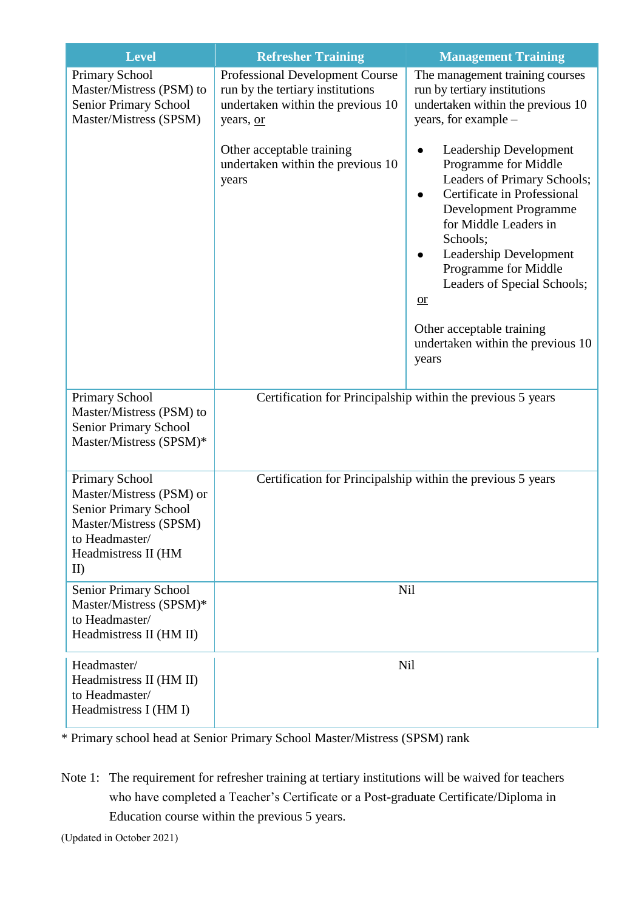| <b>Level</b>                                                                                                                                               | <b>Refresher Training</b>                                                                                                                                                                        | <b>Management Training</b>                                                                                                                                                                                                                                                                                                                                                                                                                                                                               |
|------------------------------------------------------------------------------------------------------------------------------------------------------------|--------------------------------------------------------------------------------------------------------------------------------------------------------------------------------------------------|----------------------------------------------------------------------------------------------------------------------------------------------------------------------------------------------------------------------------------------------------------------------------------------------------------------------------------------------------------------------------------------------------------------------------------------------------------------------------------------------------------|
| Primary School<br>Master/Mistress (PSM) to<br>Senior Primary School<br>Master/Mistress (SPSM)                                                              | Professional Development Course<br>run by the tertiary institutions<br>undertaken within the previous 10<br>years, or<br>Other acceptable training<br>undertaken within the previous 10<br>years | The management training courses<br>run by tertiary institutions<br>undertaken within the previous 10<br>years, for example -<br>Leadership Development<br>$\bullet$<br>Programme for Middle<br>Leaders of Primary Schools;<br>Certificate in Professional<br>$\bullet$<br>Development Programme<br>for Middle Leaders in<br>Schools;<br>Leadership Development<br>Programme for Middle<br>Leaders of Special Schools;<br>$or$<br>Other acceptable training<br>undertaken within the previous 10<br>years |
| <b>Primary School</b><br>Master/Mistress (PSM) to<br>Senior Primary School<br>Master/Mistress (SPSM)*                                                      | Certification for Principalship within the previous 5 years                                                                                                                                      |                                                                                                                                                                                                                                                                                                                                                                                                                                                                                                          |
| <b>Primary School</b><br>Master/Mistress (PSM) or<br><b>Senior Primary School</b><br>Master/Mistress (SPSM)<br>to Headmaster/<br>Headmistress II (HM<br>II | Certification for Principalship within the previous 5 years                                                                                                                                      |                                                                                                                                                                                                                                                                                                                                                                                                                                                                                                          |
| Senior Primary School<br>Master/Mistress (SPSM)*<br>to Headmaster/<br>Headmistress II (HM II)                                                              | Nil                                                                                                                                                                                              |                                                                                                                                                                                                                                                                                                                                                                                                                                                                                                          |
| Headmaster/<br>Headmistress II (HM II)<br>to Headmaster/<br>Headmistress I (HM I)                                                                          | Nil                                                                                                                                                                                              |                                                                                                                                                                                                                                                                                                                                                                                                                                                                                                          |

\* Primary school head at Senior Primary School Master/Mistress (SPSM) rank

Note 1: The requirement for refresher training at tertiary institutions will be waived for teachers who have completed a Teacher's Certificate or a Post-graduate Certificate/Diploma in Education course within the previous 5 years.

(Updated in October 2021)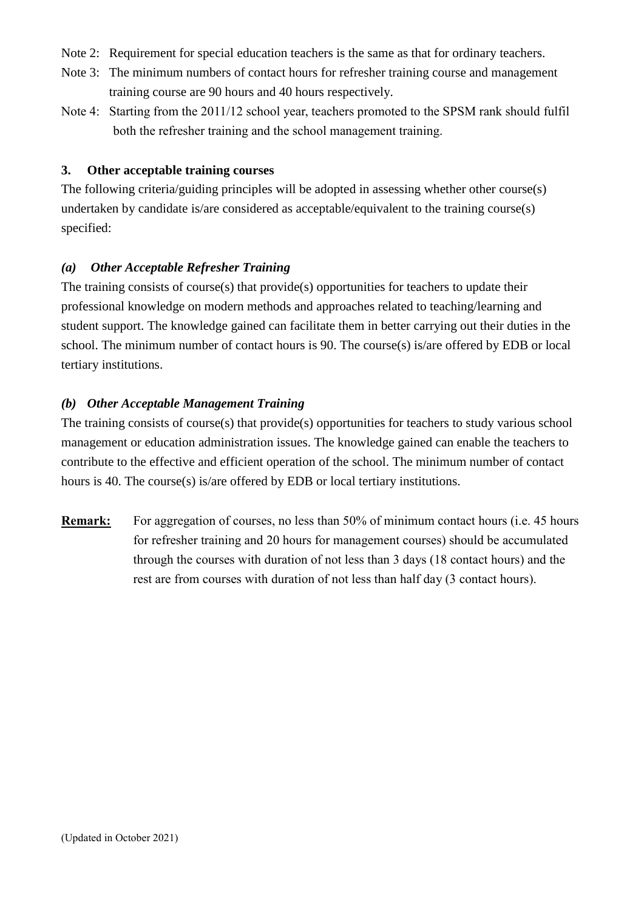- Note 2: Requirement for special education teachers is the same as that for ordinary teachers.
- Note 3: The minimum numbers of contact hours for refresher training course and management training course are 90 hours and 40 hours respectively.
- Note 4: Starting from the 2011/12 school year, teachers promoted to the SPSM rank should fulfil both the refresher training and the school management training.

#### **3. Other acceptable training courses**

The following criteria/guiding principles will be adopted in assessing whether other course(s) undertaken by candidate is/are considered as acceptable/equivalent to the training course(s) specified:

#### *(a) Other Acceptable Refresher Training*

The training consists of course(s) that provide(s) opportunities for teachers to update their professional knowledge on modern methods and approaches related to teaching/learning and student support. The knowledge gained can facilitate them in better carrying out their duties in the school. The minimum number of contact hours is 90. The course(s) is/are offered by EDB or local tertiary institutions.

#### *(b) Other Acceptable Management Training*

The training consists of course(s) that provide(s) opportunities for teachers to study various school management or education administration issues. The knowledge gained can enable the teachers to contribute to the effective and efficient operation of the school. The minimum number of contact hours is 40. The course(s) is/are offered by EDB or local tertiary institutions.

**Remark:** For aggregation of courses, no less than 50% of minimum contact hours (i.e. 45 hours for refresher training and 20 hours for management courses) should be accumulated through the courses with duration of not less than 3 days (18 contact hours) and the rest are from courses with duration of not less than half day (3 contact hours).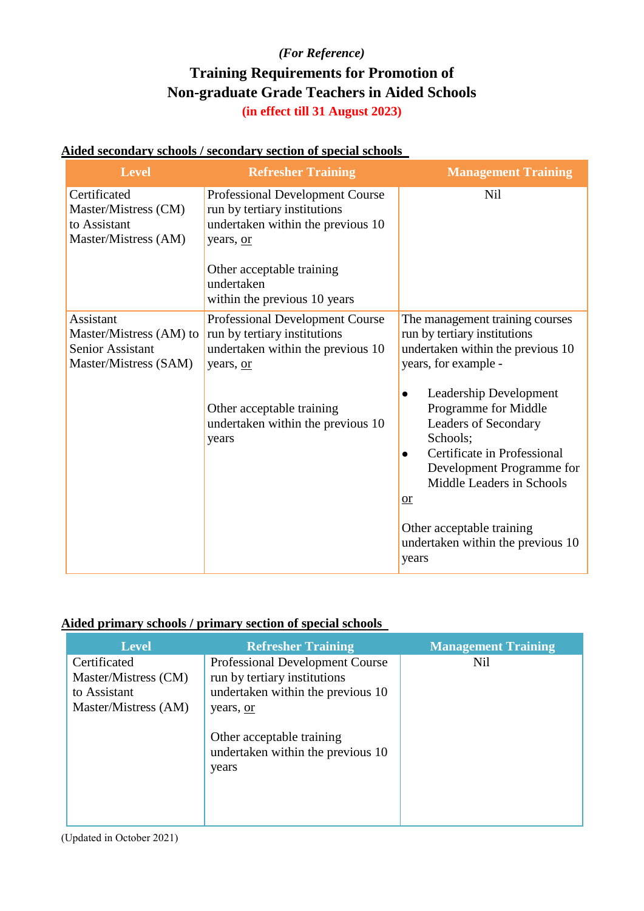# *(For Reference)* **Training Requirements for Promotion of Non-graduate Grade Teachers in Aided Schools (in effect till 31 August 2023)**

## **Aided secondary schools / secondary section of special schools**

| <b>Level</b>                                                                                    | <b>Refresher Training</b>                                                                                                                                                                    | <b>Management Training</b>                                                                                                                                                                                         |
|-------------------------------------------------------------------------------------------------|----------------------------------------------------------------------------------------------------------------------------------------------------------------------------------------------|--------------------------------------------------------------------------------------------------------------------------------------------------------------------------------------------------------------------|
| Certificated<br>Master/Mistress (CM)<br>to Assistant<br>Master/Mistress (AM)                    | Professional Development Course<br>run by tertiary institutions<br>undertaken within the previous 10<br>years, or<br>Other acceptable training<br>undertaken<br>within the previous 10 years | Nil                                                                                                                                                                                                                |
| <b>Assistant</b><br>Master/Mistress (AM) to<br><b>Senior Assistant</b><br>Master/Mistress (SAM) | Professional Development Course<br>run by tertiary institutions<br>undertaken within the previous 10<br>years, or<br>Other acceptable training<br>undertaken within the previous 10<br>years | The management training courses<br>run by tertiary institutions<br>undertaken within the previous 10<br>years, for example -<br>Leadership Development<br>Programme for Middle<br>Leaders of Secondary<br>Schools; |
|                                                                                                 |                                                                                                                                                                                              | Certificate in Professional<br>$\bullet$<br>Development Programme for<br>Middle Leaders in Schools<br>$or$<br>Other acceptable training<br>undertaken within the previous 10<br>years                              |

### **Aided primary schools / primary section of special schools**

| <b>Level</b>                                         | <b>Refresher Training</b>                                                                                   | <b>Management Training</b> |
|------------------------------------------------------|-------------------------------------------------------------------------------------------------------------|----------------------------|
| Certificated<br>Master/Mistress (CM)<br>to Assistant | <b>Professional Development Course</b><br>run by tertiary institutions<br>undertaken within the previous 10 | <b>Nil</b>                 |
| Master/Mistress (AM)                                 | years, or<br>Other acceptable training<br>undertaken within the previous 10<br>years                        |                            |
|                                                      |                                                                                                             |                            |